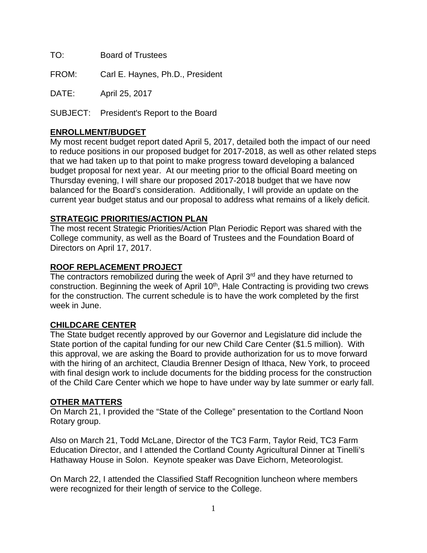TO: Board of Trustees

FROM: Carl E. Haynes, Ph.D., President

DATE: April 25, 2017

SUBJECT: President's Report to the Board

## **ENROLLMENT/BUDGET**

My most recent budget report dated April 5, 2017, detailed both the impact of our need to reduce positions in our proposed budget for 2017-2018, as well as other related steps that we had taken up to that point to make progress toward developing a balanced budget proposal for next year. At our meeting prior to the official Board meeting on Thursday evening, I will share our proposed 2017-2018 budget that we have now balanced for the Board's consideration. Additionally, I will provide an update on the current year budget status and our proposal to address what remains of a likely deficit.

## **STRATEGIC PRIORITIES/ACTION PLAN**

The most recent Strategic Priorities/Action Plan Periodic Report was shared with the College community, as well as the Board of Trustees and the Foundation Board of Directors on April 17, 2017.

#### **ROOF REPLACEMENT PROJECT**

The contractors remobilized during the week of April 3<sup>rd</sup> and they have returned to construction. Beginning the week of April 10<sup>th</sup>, Hale Contracting is providing two crews for the construction. The current schedule is to have the work completed by the first week in June.

# **CHILDCARE CENTER**

The State budget recently approved by our Governor and Legislature did include the State portion of the capital funding for our new Child Care Center (\$1.5 million). With this approval, we are asking the Board to provide authorization for us to move forward with the hiring of an architect, Claudia Brenner Design of Ithaca, New York, to proceed with final design work to include documents for the bidding process for the construction of the Child Care Center which we hope to have under way by late summer or early fall.

#### **OTHER MATTERS**

On March 21, I provided the "State of the College" presentation to the Cortland Noon Rotary group.

Also on March 21, Todd McLane, Director of the TC3 Farm, Taylor Reid, TC3 Farm Education Director, and I attended the Cortland County Agricultural Dinner at Tinelli's Hathaway House in Solon. Keynote speaker was Dave Eichorn, Meteorologist.

On March 22, I attended the Classified Staff Recognition luncheon where members were recognized for their length of service to the College.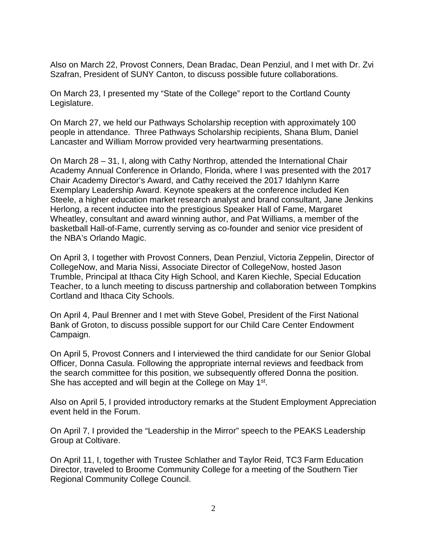Also on March 22, Provost Conners, Dean Bradac, Dean Penziul, and I met with Dr. Zvi Szafran, President of SUNY Canton, to discuss possible future collaborations.

On March 23, I presented my "State of the College" report to the Cortland County Legislature.

On March 27, we held our Pathways Scholarship reception with approximately 100 people in attendance. Three Pathways Scholarship recipients, Shana Blum, Daniel Lancaster and William Morrow provided very heartwarming presentations.

On March 28 – 31, I, along with Cathy Northrop, attended the International Chair Academy Annual Conference in Orlando, Florida, where I was presented with the 2017 Chair Academy Director's Award, and Cathy received the 2017 Idahlynn Karre Exemplary Leadership Award. Keynote speakers at the conference included Ken Steele, a higher education market research analyst and brand consultant, Jane Jenkins Herlong, a recent inductee into the prestigious Speaker Hall of Fame, Margaret Wheatley, consultant and award winning author, and Pat Williams, a member of the basketball Hall-of-Fame, currently serving as co-founder and senior vice president of the NBA's Orlando Magic.

On April 3, I together with Provost Conners, Dean Penziul, Victoria Zeppelin, Director of CollegeNow, and Maria Nissi, Associate Director of CollegeNow, hosted Jason Trumble, Principal at Ithaca City High School, and Karen Kiechle, Special Education Teacher, to a lunch meeting to discuss partnership and collaboration between Tompkins Cortland and Ithaca City Schools.

On April 4, Paul Brenner and I met with Steve Gobel, President of the First National Bank of Groton, to discuss possible support for our Child Care Center Endowment Campaign.

On April 5, Provost Conners and I interviewed the third candidate for our Senior Global Officer, Donna Casula. Following the appropriate internal reviews and feedback from the search committee for this position, we subsequently offered Donna the position. She has accepted and will begin at the College on May 1<sup>st</sup>.

Also on April 5, I provided introductory remarks at the Student Employment Appreciation event held in the Forum.

On April 7, I provided the "Leadership in the Mirror" speech to the PEAKS Leadership Group at Coltivare.

On April 11, I, together with Trustee Schlather and Taylor Reid, TC3 Farm Education Director, traveled to Broome Community College for a meeting of the Southern Tier Regional Community College Council.